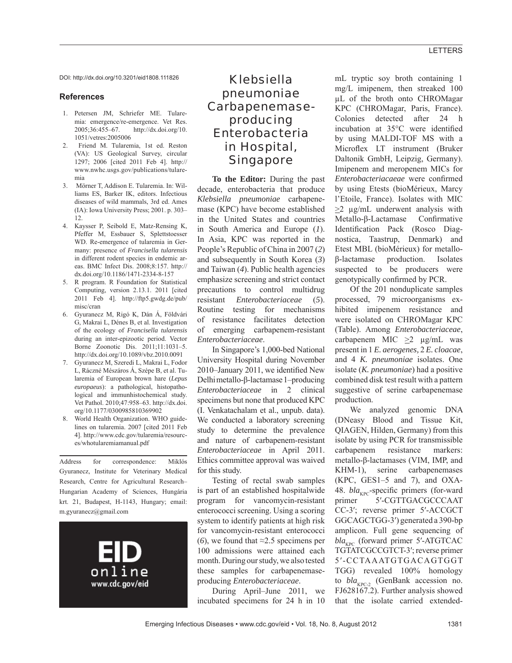DOI: http://dx.doi.org/10.3201/eid1808.111826

### **References**

- 1. Petersen JM, Schriefer ME. Tularemia: emergence/re-emergence. Vet Res. 2005;36:455–67. http://dx.doi.org/10. 1051/vetres:2005006
- 2. Friend M. Tularemia, 1st ed. Reston (VA): US Geological Survey, circular 1297; 2006 [cited 2011 Feb 4]. http:// www.nwhc.usgs.gov/publications/tularemia
- 3. Mörner T, Addison E. Tularemia. In: Williams ES, Barker IK, editors. Infectious diseases of wild mammals, 3rd ed. Ames (IA): Iowa University Press; 2001. p. 303– 12.
- 4. Kaysser P, Seibold E, Matz-Rensing K, Pfeffer M, Essbauer S, Splettstoesser WD. Re-emergence of tularemia in Germany: presence of *Francisella tularensis* in different rodent species in endemic areas. BMC Infect Dis. 2008;8:157. http:// dx.doi.org/10.1186/1471-2334-8-157
- 5. R program. R Foundation for Statistical Computing, version 2.13.1. 2011 [cited 2011 Feb 4]. http://ftp5.gwdg.de/pub/ misc/cran
- 6. Gyuranecz M, Rigó K, Dán Á, Földvári G, Makrai L, Dénes B, et al. Investigation of the ecology of *Francisella tularensis* during an inter-epizootic period. Vector Borne Zoonotic Dis. 2011;11:1031–5. http://dx.doi.org/10.1089/vbz.2010.0091
- 7. Gyuranecz M, Szeredi L, Makrai L, Fodor L, Ráczné Mészáros Á, Szépe B, et al. Tularemia of European brown hare (*Lepus europaeus*): a pathological, histopathological and immunhistochemical study. Vet Pathol. 2010;47:958–63. http://dx.doi. org/10.1177/0300985810369902
- World Health Organization. WHO guidelines on tularemia. 2007 [cited 2011 Feb 4]. http://www.cdc.gov/tularemia/resources/whotularemiamanual.pdf

Address for correspondence: Miklós Gyuranecz, Institute for Veterinary Medical Research, Centre for Agricultural Research– Hungarian Academy of Sciences, Hungária krt. 21, Budapest, H-1143, Hungary; email: m.gyuranecz@gmail.com



# *Klebsiella pneumoniae* Carbapenemaseproducing Enterobacteria in Hospital, Singapore

**To the Editor:** During the past decade, enterobacteria that produce *Klebsiella pneumoniae* carbapenemase (KPC) have become established in the United States and countries in South America and Europe (*1*). In Asia, KPC was reported in the People's Republic of China in 2007 (*2*) and subsequently in South Korea (*3*) and Taiwan (*4*). Public health agencies emphasize screening and strict contact precautions to control multidrug resistant *Enterobacteriaceae* (*5*). Routine testing for mechanisms of resistance facilitates detection of emerging carbapenem-resistant *Enterobacteriaceae*.

In Singapore's 1,000-bed National University Hospital during November 2010–January 2011, we identified New Delhi metallo-β-lactamase 1–producing *Enterobacteriaceae* in 2 clinical specimens but none that produced KPC (I. Venkatachalam et al., unpub. data). We conducted a laboratory screening study to determine the prevalence and nature of carbapenem-resistant *Enterobacteriaceae* in April 2011. Ethics committee approval was waived for this study.

Testing of rectal swab samples is part of an established hospitalwide program for vancomycin-resistant enterococci screening. Using a scoring system to identify patients at high risk for vancomycin-resistant enterococci (*6*), we found that ≈2.5 specimens per 100 admissions were attained each month. During our study, we also tested these samples for carbapenemaseproducing *Enterobacteriaceae*.

During April–June 2011, we incubated specimens for 24 h in 10

mL tryptic soy broth containing 1 mg/L imipenem, then streaked 100 μL of the broth onto CHROMagar KPC (CHROMagar, Paris, France). Colonies detected after 24 h incubation at 35°C were identified by using MALDI-TOF MS with a Microflex LT instrument (Bruker Daltonik GmbH, Leipzig, Germany). Imipenem and meropenem MICs for *Enterobacteriacaeae* were confirmed by using Etests (bioMérieux, Marcy l'Etoile, France). Isolates with MIC >2 μg/mL underwent analysis with Metallo-β-Lactamase Confirmative Identification Pack (Rosco Diagnostica, Taastrup, Denmark) and Etest MBL (bioMérieux) for metalloβ-lactamase production. Isolates suspected to be producers were genotypically confirmed by PCR.

Of the 201 nonduplicate samples processed, 79 microorganisms exhibited imipenem resistance and were isolated on CHROMagar KPC (Table). Among *Enterobacteriaceae*, carbapenem MIC  $\geq$ 2 μg/mL was present in 1 *E. aerogenes,* 2 *E. cloacae*, and 4 *K. pneumoniae* isolates. One isolate (*K. pneumoniae*) had a positive combined disk test result with a pattern suggestive of serine carbapenemase production.

We analyzed genomic DNA (DNeasy Blood and Tissue Kit, QIAGEN, Hilden, Germany) from this isolate by using PCR for transmissible carbapenem resistance markers: metallo-β-lactamases (VIM, IMP, and KHM-1), serine carbapenemases (KPC, GES1–5 and 7), and OXA-48. *bla*<sub>KPC</sub>-specific primers (for-ward<br>primer 5'-CGTTGACGCCCAAT 5′-CGTTGACGCCCAAT CC-3′; reverse primer 5′-ACCGCT GGCAGCTGG-3′) generated a 390-bp amplicon. Full gene sequencing of  $bla_{VDC}$  (forward primer 5'-ATGTCAC) TGTATCGCCGTCT-3′; reverse primer 5′-CCTAAATGTGACAGTGGT TGG) revealed 100% homology to  $bla_{KPC-2}$  (GenBank accession no. FJ628167.2). Further analysis showed that the isolate carried extended-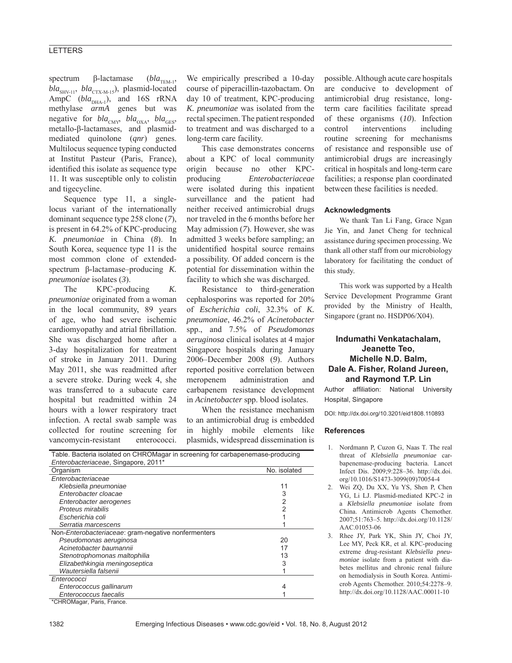# **LETTERS**

spectrum β-lactamase (*bla*<sub>TEM-1</sub>, *bla*<sub>SHV-11</sub>, *bla*<sub>CTX-M-15</sub>), plasmid-located AmpC  $(bla_{DHA-1}$ ), and 16S rRNA methylase *armA* genes but was negative for  $bla_{\text{CMY}}$ ,  $bla_{\text{OXA}}$ ,  $bla_{\text{GES}}$ , metallo-β-lactamases, and plasmidmediated quinolone (*qnr*) genes. Multilocus sequence typing conducted at Institut Pasteur (Paris, France), identified this isolate as sequence type 11. It was susceptible only to colistin and tigecycline.

Sequence type 11, a singlelocus variant of the internationally dominant sequence type 258 clone (*7*), is present in 64.2% of KPC-producing *K. pneumoniae* in China (*8*). In South Korea, sequence type 11 is the most common clone of extendedspectrum β-lactamase–producing *K. pneumoniae* isolates (*3*).

The KPC-producing *K. pneumoniae* originated from a woman in the local community, 89 years of age, who had severe ischemic cardiomyopathy and atrial fibrillation. She was discharged home after a 3-day hospitalization for treatment of stroke in January 2011. During May 2011, she was readmitted after a severe stroke. During week 4, she was transferred to a subacute care hospital but readmitted within 24 hours with a lower respiratory tract infection. A rectal swab sample was collected for routine screening for vancomycin-resistant enterococci.

We empirically prescribed a 10-day course of piperacillin-tazobactam. On day 10 of treatment, KPC-producing *K. pneumoniae* was isolated from the rectal specimen. The patient responded to treatment and was discharged to a long-term care facility.

This case demonstrates concerns about a KPC of local community origin because no other KPCproducing *Enterobacteriaceae* were isolated during this inpatient surveillance and the patient had neither received antimicrobial drugs nor traveled in the 6 months before her May admission (*7*). However, she was admitted 3 weeks before sampling; an unidentified hospital source remains a possibility. Of added concern is the potential for dissemination within the facility to which she was discharged.

Resistance to third-generation cephalosporins was reported for 20% of *Escherichia coli*, 32.3% of *K. pneumoniae*, 46.2% of *Acinetobacter* spp., and 7.5% of *Pseudomonas aeruginosa* clinical isolates at 4 major Singapore hospitals during January 2006–December 2008 (*9*). Authors reported positive correlation between meropenem administration and carbapenem resistance development in *Acinetobacter* spp. blood isolates.

When the resistance mechanism to an antimicrobial drug is embedded in highly mobile elements like plasmids, widespread dissemination is

| Table. Bacteria isolated on CHROMagar in screening for carbapenemase-producing<br>Enterobacteriaceae, Singapore, 2011* |    |
|------------------------------------------------------------------------------------------------------------------------|----|
|                                                                                                                        |    |
| Enterobacteriaceae                                                                                                     |    |
| Klebsiella pneumoniae                                                                                                  | 11 |
| Enterobacter cloacae                                                                                                   |    |
| Enterobacter aerogenes                                                                                                 |    |
| Proteus mirabilis                                                                                                      |    |
| Escherichia coli                                                                                                       |    |
| Serratia marcescens                                                                                                    |    |
| Non-Enterobacteriaceae: gram-negative nonfermenters                                                                    |    |
| Pseudomonas aeruginosa                                                                                                 | 20 |
| Acinetobacter baumannii                                                                                                | 17 |
| Stenotrophomonas maltophilia                                                                                           | 13 |
| Elizabethkingia meningoseptica                                                                                         | 3  |
| Wautersiella falsenii                                                                                                  |    |
| Enterococci                                                                                                            |    |
| Enterococcus gallinarum                                                                                                | 4  |
| Enterococcus faecalis                                                                                                  |    |
| *CHROMagar, Paris, France.                                                                                             |    |

possible. Although acute care hospitals are conducive to development of antimicrobial drug resistance, longterm care facilities facilitate spread of these organisms (*10*). Infection control interventions including routine screening for mechanisms of resistance and responsible use of antimicrobial drugs are increasingly critical in hospitals and long-term care facilities; a response plan coordinated between these facilities is needed.

#### **Acknowledgments**

We thank Tan Li Fang, Grace Ngan Jie Yin, and Janet Cheng for technical assistance during specimen processing. We thank all other staff from our microbiology laboratory for facilitating the conduct of this study.

This work was supported by a Health Service Development Programme Grant provided by the Ministry of Health, Singapore (grant no. HSDP06/X04).

## **Indumathi Venkatachalam, Jeanette Teo, Michelle N.D. Balm, Dale A. Fisher, Roland Jureen, and Raymond T.P. Lin**

Author affiliation: National University Hospital, Singapore

DOI: http://dx.doi.org/10.3201/eid1808.110893

### **References**

- 1. Nordmann P, Cuzon G, Naas T. The real threat of *Klebsiella pneumoniae* carbapenemase-producing bacteria. Lancet Infect Dis. 2009;9:228–36. http://dx.doi. org/10.1016/S1473-3099(09)70054-4
- 2. Wei ZQ, Du XX, Yu YS, Shen P, Chen YG, Li LJ. Plasmid-mediated KPC-2 in a *Klebsiella pneumoniae* isolate from China. Antimicrob Agents Chemother. 2007;51:763–5. http://dx.doi.org/10.1128/ AAC.01053-06
- 3. Rhee JY, Park YK, Shin JY, Choi JY, Lee MY, Peck KR, et al. KPC-producing extreme drug-resistant *Klebsiella pneumoniae* isolate from a patient with diabetes mellitus and chronic renal failure on hemodialysis in South Korea. Antimicrob Agents Chemother. 2010;54:2278–9. http://dx.doi.org/10.1128/AAC.00011-10